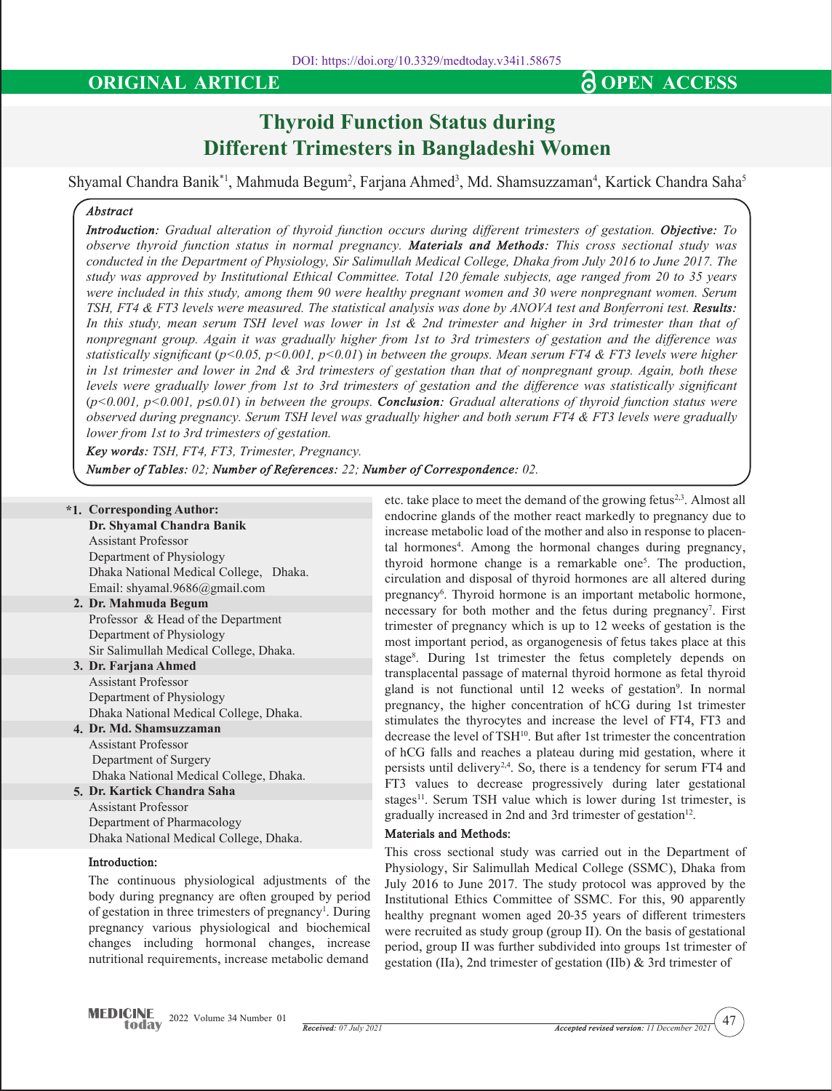# **Thyroid Function Status during Different Trimesters in Bangladeshi Women**

Shyamal Chandra Banik\*1, Mahmuda Begum<sup>2</sup>, Farjana Ahmed<sup>3</sup>, Md. Shamsuzzaman<sup>4</sup>, Kartick Chandra Saha<sup>5</sup>

### *Abstract*

*Introduction: Gradual alteration of thyroid function occurs during different trimesters of gestation. Objective: To observe thyroid function status in normal pregnancy. Materials and Methods: This cross sectional study was conducted in the Department of Physiology, Sir Salimullah Medical College, Dhaka from July 2016 to June 2017. The study was approved by Institutional Ethical Committee. Total 120 female subjects, age ranged from 20 to 35 years were included in this study, among them 90 were healthy pregnant women and 30 were nonpregnant women. Serum TSH, FT4 & FT3 levels were measured. The statistical analysis was done by ANOVA test and Bonferroni test. Results: In this study, mean serum TSH level was lower in 1st & 2nd trimester and higher in 3rd trimester than that of nonpregnant group. Again it was gradually higher from 1st to 3rd trimesters of gestation and the difference was statistically significant (p<0.05, p<0.001, p<0.01) in between the groups. Mean serum FT4 & FT3 levels were higher in 1st trimester and lower in 2nd & 3rd trimesters of gestation than that of nonpregnant group. Again, both these levels were gradually lower from 1st to 3rd trimesters of gestation and the difference was statistically significant (p<0.001, p<0.001, p*≤*0.01) in between the groups. Conclusion: Gradual alterations of thyroid function status were observed during pregnancy. Serum TSH level was gradually higher and both serum FT4 & FT3 levels were gradually lower from 1st to 3rd trimesters of gestation.*

*Key words: TSH, FT4, FT3, Trimester, Pregnancy.*

*Number of Tables: 02; Number of References: 22; Number of Correspondence: 02.*

## **\*1. Corresponding Author:**

**Dr. Shyamal Chandra Banik**  Assistant Professor Department of Physiology

Dhaka National Medical College, Dhaka. Email: shyamal.9686@gmail.com

- **2. Dr. Mahmuda Begum** Professor & Head of the Department Department of Physiology Sir Salimullah Medical College, Dhaka.
- **3. Dr. Farjana Ahmed** Assistant Professor Department of Physiology Dhaka National Medical College, Dhaka.

#### **4. Dr. Md. Shamsuzzaman** Assistant Professor Department of Surgery Dhaka National Medical College, Dhaka.

#### **5. Dr. Kartick Chandra Saha** Assistant Professor Department of Pharmacology Dhaka National Medical College, Dhaka.

#### **Introduction:**

The continuous physiological adjustments of the body during pregnancy are often grouped by period of gestation in three trimesters of pregnancy<sup>1</sup>. During pregnancy various physiological and biochemical changes including hormonal changes, increase nutritional requirements, increase metabolic demand

etc. take place to meet the demand of the growing fetus<sup>2,3</sup>. Almost all endocrine glands of the mother react markedly to pregnancy due to increase metabolic load of the mother and also in response to placental hormones<sup>4</sup>. Among the hormonal changes during pregnancy, thyroid hormone change is a remarkable one5 . The production, circulation and disposal of thyroid hormones are all altered during pregnancy<sup>6</sup>. Thyroid hormone is an important metabolic hormone, necessary for both mother and the fetus during pregnancy<sup>7</sup>. First trimester of pregnancy which is up to 12 weeks of gestation is the most important period, as organogenesis of fetus takes place at this stage<sup>8</sup>. During 1st trimester the fetus completely depends on transplacental passage of maternal thyroid hormone as fetal thyroid gland is not functional until 12 weeks of gestation<sup>9</sup>. In normal pregnancy, the higher concentration of hCG during 1st trimester stimulates the thyrocytes and increase the level of FT4, FT3 and decrease the level of TSH<sup>10</sup>. But after 1st trimester the concentration of hCG falls and reaches a plateau during mid gestation, where it persists until delivery<sup>2,4</sup>. So, there is a tendency for serum FT4 and FT3 values to decrease progressively during later gestational stages<sup>11</sup>. Serum TSH value which is lower during 1st trimester, is gradually increased in 2nd and 3rd trimester of gestation<sup>12</sup>.

#### **Materials and Methods:**

This cross sectional study was carried out in the Department of Physiology, Sir Salimullah Medical College (SSMC), Dhaka from July 2016 to June 2017. The study protocol was approved by the Institutional Ethics Committee of SSMC. For this, 90 apparently healthy pregnant women aged 20-35 years of different trimesters were recruited as study group (group II). On the basis of gestational period, group II was further subdivided into groups 1st trimester of gestation (IIa), 2nd trimester of gestation (IIb) & 3rd trimester of

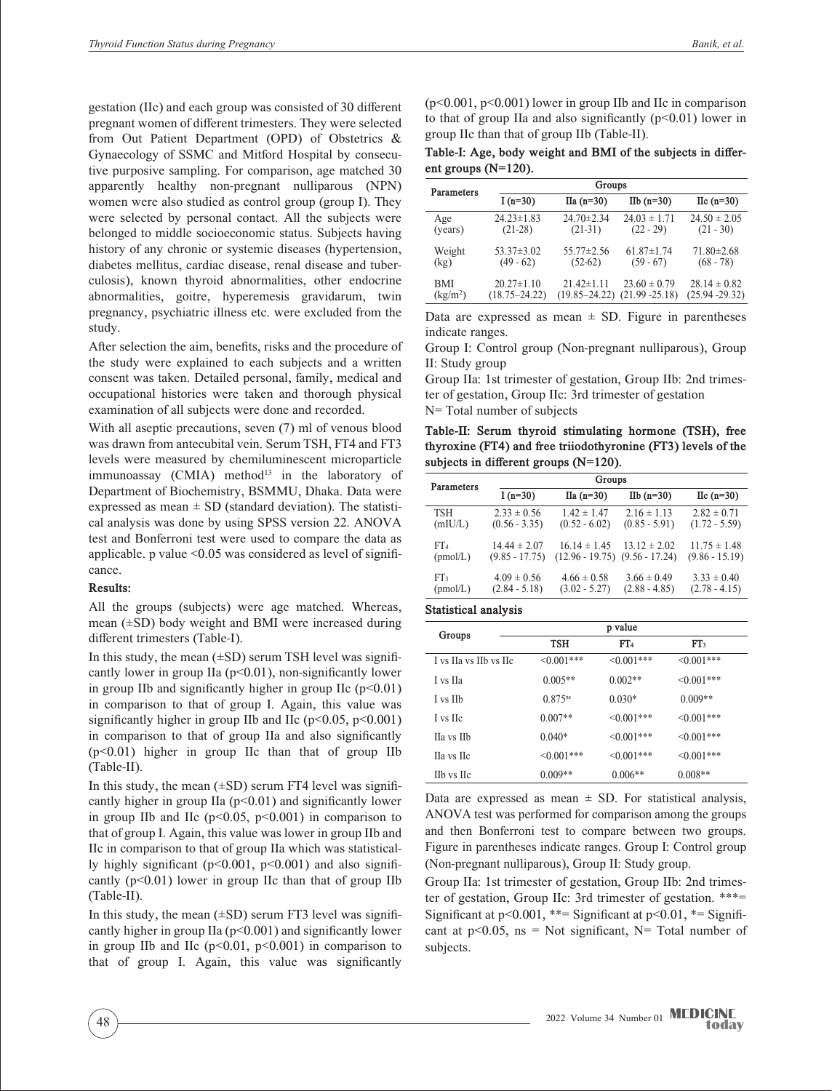gestation (IIc) and each group was consisted of 30 different pregnant women of different trimesters. They were selected from Out Patient Department (OPD) of Obstetrics & Gynaecology of SSMC and Mitford Hospital by consecutive purposive sampling. For comparison, age matched 30 apparently healthy non-pregnant nulliparous (NPN) women were also studied as control group (group I). They were selected by personal contact. All the subjects were belonged to middle socioeconomic status. Subjects having history of any chronic or systemic diseases (hypertension, diabetes mellitus, cardiac disease, renal disease and tuberculosis), known thyroid abnormalities, other endocrine abnormalities, goitre, hyperemesis gravidarum, twin pregnancy, psychiatric illness etc. were excluded from the study.

After selection the aim, benefits, risks and the procedure of the study were explained to each subjects and a written consent was taken. Detailed personal, family, medical and occupational histories were taken and thorough physical examination of all subjects were done and recorded.

With all aseptic precautions, seven (7) ml of venous blood was drawn from antecubital vein. Serum TSH, FT4 and FT3 levels were measured by chemiluminescent microparticle  $immunoassay$  (CMIA) method<sup>13</sup> in the laboratory of Department of Biochemistry, BSMMU, Dhaka. Data were expressed as mean  $\pm$  SD (standard deviation). The statistical analysis was done by using SPSS version 22. ANOVA test and Bonferroni test were used to compare the data as applicable. p value  $\leq 0.05$  was considered as level of significance.

#### **Results:**

All the groups (subjects) were age matched. Whereas, mean (±SD) body weight and BMI were increased during different trimesters (Table-I).

In this study, the mean  $(\pm SD)$  serum TSH level was significantly lower in group IIa  $(p<0.01)$ , non-significantly lower in group IIb and significantly higher in group IIc  $(p<0.01)$ in comparison to that of group I. Again, this value was significantly higher in group IIb and IIc ( $p<0.05$ ,  $p<0.001$ ) in comparison to that of group IIa and also significantly (p<0.01) higher in group IIc than that of group IIb (Table-II).

In this study, the mean  $(\pm SD)$  serum FT4 level was significantly higher in group IIa  $(p<0.01)$  and significantly lower in group IIb and IIc ( $p<0.05$ ,  $p<0.001$ ) in comparison to that of group I. Again, this value was lower in group IIb and IIc in comparison to that of group IIa which was statistically highly significant ( $p<0.001$ ,  $p<0.001$ ) and also significantly  $(p<0.01)$  lower in group IIc than that of group IIb (Table-II).

In this study, the mean  $(\pm SD)$  serum FT3 level was significantly higher in group IIa (p<0.001) and significantly lower in group IIb and IIc  $(p<0.01, p<0.001)$  in comparison to that of group I. Again, this value was significantly  $(p<0.001, p<0.001)$  lower in group IIb and IIc in comparison to that of group IIa and also significantly  $(p<0.01)$  lower in group IIc than that of group IIb (Table-II).

**Table-I: Age, body weight and BMI of the subjects in different groups (N=120).**

| Parameters           | Groups            |                   |                     |                     |  |
|----------------------|-------------------|-------------------|---------------------|---------------------|--|
|                      | I $(n=30)$        | $IIa(n=30)$       | $I\text{Ib}$ (n=30) | $\text{IIc}$ (n=30) |  |
| Age                  | $24.23 \pm 1.83$  | $24.70 \pm 2.34$  | $24.03 \pm 1.71$    | $24.50 \pm 2.05$    |  |
| (years)              | $(21-28)$         | $(21-31)$         | $(22 - 29)$         | $(21 - 30)$         |  |
| Weight               | $53.37 \pm 3.02$  | $55.77 \pm 2.56$  | $61.87 \pm 1.74$    | $71.80 \pm 2.68$    |  |
| (kg)                 | $(49 - 62)$       | $(52-62)$         | $(59 - 67)$         | $(68 - 78)$         |  |
| BMI                  | $20.27 \pm 1.10$  | $21.42 \pm 1.11$  | $23.60 \pm 0.79$    | $28.14 \pm 0.82$    |  |
| (kg/m <sup>2</sup> ) | $(18.75 - 24.22)$ | $(19.85 - 24.22)$ | $(21.99 - 25.18)$   | $(25.94 - 29.32)$   |  |

Data are expressed as mean  $\pm$  SD. Figure in parentheses indicate ranges.

Group I: Control group (Non-pregnant nulliparous), Group II: Study group

Group IIa: 1st trimester of gestation, Group IIb: 2nd trimester of gestation, Group IIc: 3rd trimester of gestation N= Total number of subjects

**Table-II: Serum thyroid stimulating hormone (TSH), free thyroxine (FT4) and free triiodothyronine (FT3) levels of the subjects in different groups (N=120).**

| Parameters      | Groups           |                   |                     |                     |  |
|-----------------|------------------|-------------------|---------------------|---------------------|--|
|                 | I $(n=30)$       | $\Pi$ a (n=30)    | $I\text{Ib}$ (n=30) | $\text{IIc}$ (n=30) |  |
| TSH             | $2.33 \pm 0.56$  | $1.42 \pm 1.47$   | $2.16 \pm 1.13$     | $2.82 \pm 0.71$     |  |
| (mIU/L)         | $(0.56 - 3.35)$  | $(0.52 - 6.02)$   | $(0.85 - 5.91)$     | $(1.72 - 5.59)$     |  |
| FT <sub>4</sub> | $14.44 \pm 2.07$ | $16.14 \pm 1.45$  | $13.12 \pm 2.02$    | $11.75 \pm 1.48$    |  |
| (pmol/L)        | $(9.85 - 17.75)$ | $(12.96 - 19.75)$ | $(9.56 - 17.24)$    | $(9.86 - 15.19)$    |  |
| FT3             | $4.09 \pm 0.56$  | $4.66 \pm 0.58$   | $3.66 \pm 0.49$     | $3.33 \pm 0.40$     |  |
| (pmol/L)        | $(2.84 - 5.18)$  | $(3.02 - 5.27)$   | $(2.88 - 4.85)$     | $(2.78 - 4.15)$     |  |

#### **Statistical analysis**

| Groups                 | p value               |                  |                  |  |
|------------------------|-----------------------|------------------|------------------|--|
|                        | <b>TSH</b>            | FT <sub>4</sub>  | FT <sub>3</sub>  |  |
| I vs IIa vs IIb vs IIc | $\leq 0.001$ ***      | $\leq 0.001$ *** | $< 0.001$ ***    |  |
| I vs IIa               | $0.005**$             | $0.002**$        | $<0.001***$      |  |
| I vs IIb               | $0.875$ <sup>ns</sup> | $0.030*$         | $0.009**$        |  |
| I vs IIc               | $0.007**$             | $\leq 0.001$ *** | $< 0.001$ ***    |  |
| Ha vs IIb              | $0.040*$              | $\leq 0.001$ *** | $< 0.001$ ***    |  |
| Ha vs Hc               | $\leq 0.001$ ***      | $\leq 0.001$ *** | $\leq 0.001$ *** |  |
| <b>IIb</b> vs IIc      | $0.009**$             | $0.006**$        | $0.008**$        |  |

Data are expressed as mean  $\pm$  SD. For statistical analysis, ANOVA test was performed for comparison among the groups and then Bonferroni test to compare between two groups. Figure in parentheses indicate ranges. Group I: Control group (Non-pregnant nulliparous), Group II: Study group.

Group IIa: 1st trimester of gestation, Group IIb: 2nd trimester of gestation, Group IIc: 3rd trimester of gestation. \*\*\*= Significant at  $p<0.001$ , \*\*= Significant at  $p<0.01$ , \*= Significant at  $p<0.05$ ,  $ns = Not significant$ ,  $N= Total number of$ subjects.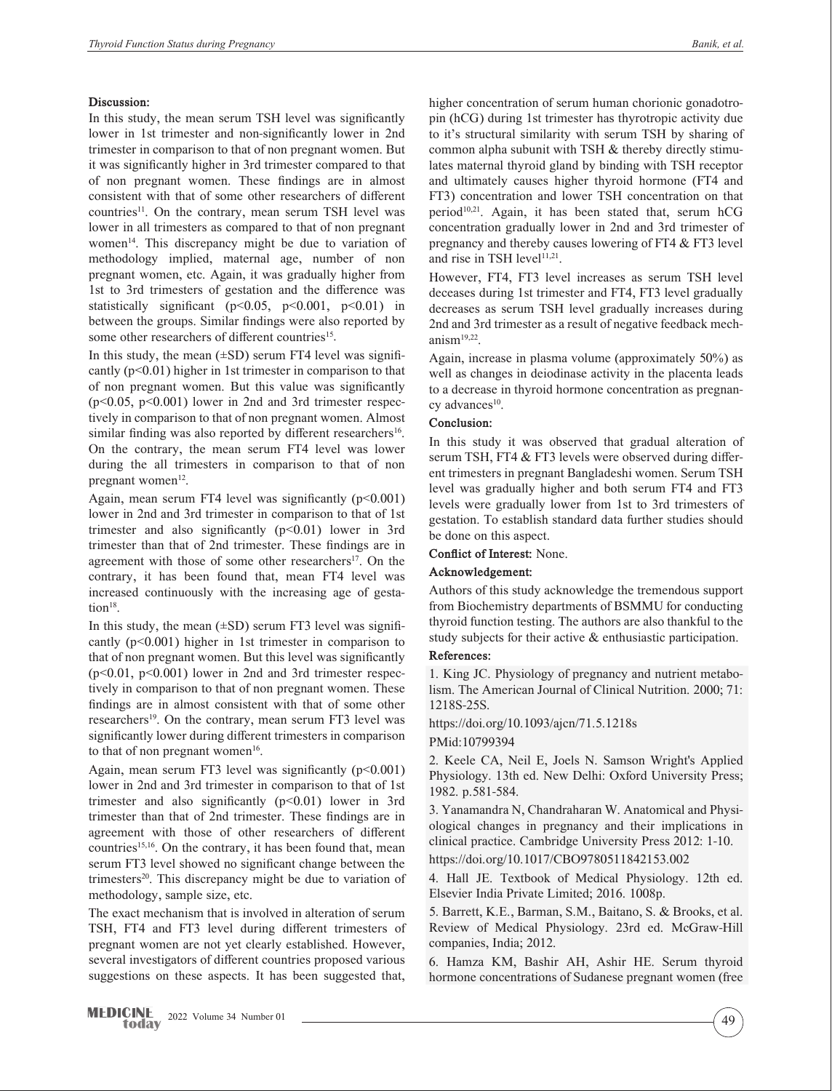#### **Discussion:**

In this study, the mean serum TSH level was significantly lower in 1st trimester and non-significantly lower in 2nd trimester in comparison to that of non pregnant women. But it was significantly higher in 3rd trimester compared to that of non pregnant women. These findings are in almost consistent with that of some other researchers of different countries<sup>11</sup>. On the contrary, mean serum TSH level was lower in all trimesters as compared to that of non pregnant women<sup>14</sup>. This discrepancy might be due to variation of methodology implied, maternal age, number of non pregnant women, etc. Again, it was gradually higher from 1st to 3rd trimesters of gestation and the difference was statistically significant ( $p<0.05$ ,  $p<0.001$ ,  $p<0.01$ ) in between the groups. Similar findings were also reported by some other researchers of different countries<sup>15</sup>.

In this study, the mean  $(\pm SD)$  serum FT4 level was significantly (p<0.01) higher in 1st trimester in comparison to that of non pregnant women. But this value was significantly  $(p<0.05, p<0.001)$  lower in 2nd and 3rd trimester respectively in comparison to that of non pregnant women. Almost similar finding was also reported by different researchers<sup>16</sup>. On the contrary, the mean serum FT4 level was lower during the all trimesters in comparison to that of non pregnant women $12$ .

Again, mean serum FT4 level was significantly  $(p<0.001)$ lower in 2nd and 3rd trimester in comparison to that of 1st trimester and also significantly  $(p<0.01)$  lower in 3rd trimester than that of 2nd trimester. These findings are in agreement with those of some other researchers<sup>17</sup>. On the contrary, it has been found that, mean FT4 level was increased continuously with the increasing age of gestation<sup>18</sup>.

In this study, the mean  $(\pm SD)$  serum FT3 level was significantly  $(p<0.001)$  higher in 1st trimester in comparison to that of non pregnant women. But this level was significantly (p<0.01, p<0.001) lower in 2nd and 3rd trimester respectively in comparison to that of non pregnant women. These findings are in almost consistent with that of some other researchers<sup>19</sup>. On the contrary, mean serum FT3 level was significantly lower during different trimesters in comparison to that of non pregnant women $16$ .

Again, mean serum FT3 level was significantly  $(p<0.001)$ lower in 2nd and 3rd trimester in comparison to that of 1st trimester and also significantly  $(p<0.01)$  lower in 3rd trimester than that of 2nd trimester. These findings are in agreement with those of other researchers of different countries<sup>15,16</sup>. On the contrary, it has been found that, mean serum FT3 level showed no significant change between the trimesters $20$ . This discrepancy might be due to variation of methodology, sample size, etc.

The exact mechanism that is involved in alteration of serum TSH, FT4 and FT3 level during different trimesters of pregnant women are not yet clearly established. However, several investigators of different countries proposed various suggestions on these aspects. It has been suggested that,

higher concentration of serum human chorionic gonadotropin (hCG) during 1st trimester has thyrotropic activity due to it's structural similarity with serum TSH by sharing of common alpha subunit with TSH & thereby directly stimulates maternal thyroid gland by binding with TSH receptor and ultimately causes higher thyroid hormone (FT4 and FT3) concentration and lower TSH concentration on that period<sup>10,21</sup>. Again, it has been stated that, serum  $\text{hCG}$ concentration gradually lower in 2nd and 3rd trimester of pregnancy and thereby causes lowering of FT4 & FT3 level and rise in TSH level $11,21$ .

However, FT4, FT3 level increases as serum TSH level deceases during 1st trimester and FT4, FT3 level gradually decreases as serum TSH level gradually increases during 2nd and 3rd trimester as a result of negative feedback mechanism19,22.

Again, increase in plasma volume (approximately 50%) as well as changes in deiodinase activity in the placenta leads to a decrease in thyroid hormone concentration as pregnancy advances<sup>10</sup>.

#### **Conclusion:**

In this study it was observed that gradual alteration of serum TSH, FT4 & FT3 levels were observed during different trimesters in pregnant Bangladeshi women. Serum TSH level was gradually higher and both serum FT4 and FT3 levels were gradually lower from 1st to 3rd trimesters of gestation. To establish standard data further studies should be done on this aspect.

**Conflict of Interest:** None.

#### **Acknowledgement:**

Authors of this study acknowledge the tremendous support from Biochemistry departments of BSMMU for conducting thyroid function testing. The authors are also thankful to the study subjects for their active & enthusiastic participation.

#### **References:**

1. King JC. Physiology of pregnancy and nutrient metabolism. The American Journal of Clinical Nutrition. 2000; 71: 1218S-25S.

#### https://doi.org/10.1093/ajcn/71.5.1218s

PMid:10799394

2. Keele CA, Neil E, Joels N. Samson Wright's Applied Physiology. 13th ed. New Delhi: Oxford University Press; 1982. p.581-584.

3. Yanamandra N, Chandraharan W. Anatomical and Physiological changes in pregnancy and their implications in clinical practice. Cambridge University Press 2012: 1-10. https://doi.org/10.1017/CBO9780511842153.002

4. Hall JE. Textbook of Medical Physiology. 12th ed. Elsevier India Private Limited; 2016. 1008p.

5. Barrett, K.E., Barman, S.M., Baitano, S. & Brooks, et al. Review of Medical Physiology. 23rd ed. McGraw-Hill companies, India; 2012.

6. Hamza KM, Bashir AH, Ashir HE. Serum thyroid hormone concentrations of Sudanese pregnant women (free